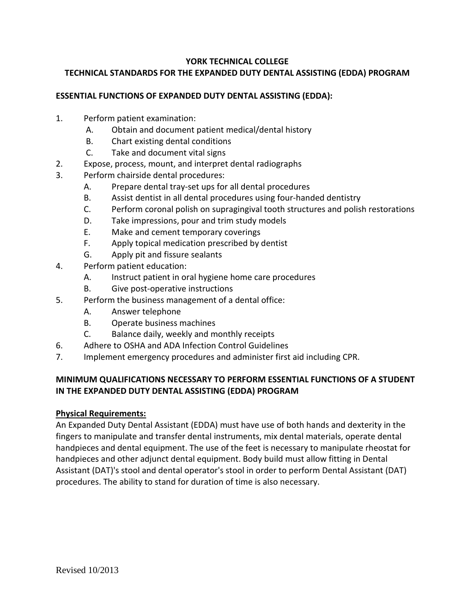## **YORK TECHNICAL COLLEGE**

# **TECHNICAL STANDARDS FOR THE EXPANDED DUTY DENTAL ASSISTING (EDDA) PROGRAM**

## **ESSENTIAL FUNCTIONS OF EXPANDED DUTY DENTAL ASSISTING (EDDA):**

- 1. Perform patient examination:
	- A. Obtain and document patient medical/dental history
	- B. Chart existing dental conditions
	- C. Take and document vital signs
- 2. Expose, process, mount, and interpret dental radiographs
- 3. Perform chairside dental procedures:
	- A. Prepare dental tray-set ups for all dental procedures
	- B. Assist dentist in all dental procedures using four-handed dentistry
	- C. Perform coronal polish on supragingival tooth structures and polish restorations
	- D. Take impressions, pour and trim study models
	- E. Make and cement temporary coverings
	- F. Apply topical medication prescribed by dentist
	- G. Apply pit and fissure sealants
- 4. Perform patient education:
	- A. Instruct patient in oral hygiene home care procedures
	- B. Give post-operative instructions
- 5. Perform the business management of a dental office:
	- A. Answer telephone
	- B. Operate business machines
	- C. Balance daily, weekly and monthly receipts
- 6. Adhere to OSHA and ADA Infection Control Guidelines
- 7. Implement emergency procedures and administer first aid including CPR.

# **MINIMUM QUALIFICATIONS NECESSARY TO PERFORM ESSENTIAL FUNCTIONS OF A STUDENT IN THE EXPANDED DUTY DENTAL ASSISTING (EDDA) PROGRAM**

## **Physical Requirements:**

An Expanded Duty Dental Assistant (EDDA) must have use of both hands and dexterity in the fingers to manipulate and transfer dental instruments, mix dental materials, operate dental handpieces and dental equipment. The use of the feet is necessary to manipulate rheostat for handpieces and other adjunct dental equipment. Body build must allow fitting in Dental Assistant (DAT)'s stool and dental operator's stool in order to perform Dental Assistant (DAT) procedures. The ability to stand for duration of time is also necessary.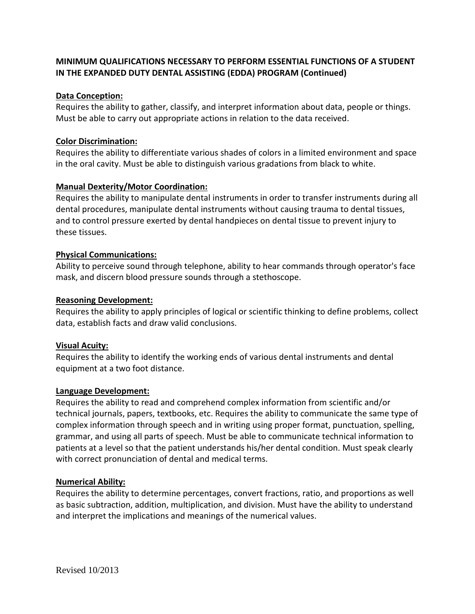# **MINIMUM QUALIFICATIONS NECESSARY TO PERFORM ESSENTIAL FUNCTIONS OF A STUDENT IN THE EXPANDED DUTY DENTAL ASSISTING (EDDA) PROGRAM (Continued)**

## **Data Conception:**

Requires the ability to gather, classify, and interpret information about data, people or things. Must be able to carry out appropriate actions in relation to the data received.

## **Color Discrimination:**

Requires the ability to differentiate various shades of colors in a limited environment and space in the oral cavity. Must be able to distinguish various gradations from black to white.

## **Manual Dexterity/Motor Coordination:**

Requires the ability to manipulate dental instruments in order to transfer instruments during all dental procedures, manipulate dental instruments without causing trauma to dental tissues, and to control pressure exerted by dental handpieces on dental tissue to prevent injury to these tissues.

## **Physical Communications:**

Ability to perceive sound through telephone, ability to hear commands through operator's face mask, and discern blood pressure sounds through a stethoscope.

#### **Reasoning Development:**

Requires the ability to apply principles of logical or scientific thinking to define problems, collect data, establish facts and draw valid conclusions.

#### **Visual Acuity:**

Requires the ability to identify the working ends of various dental instruments and dental equipment at a two foot distance.

#### **Language Development:**

Requires the ability to read and comprehend complex information from scientific and/or technical journals, papers, textbooks, etc. Requires the ability to communicate the same type of complex information through speech and in writing using proper format, punctuation, spelling, grammar, and using all parts of speech. Must be able to communicate technical information to patients at a level so that the patient understands his/her dental condition. Must speak clearly with correct pronunciation of dental and medical terms.

#### **Numerical Ability:**

Requires the ability to determine percentages, convert fractions, ratio, and proportions as well as basic subtraction, addition, multiplication, and division. Must have the ability to understand and interpret the implications and meanings of the numerical values.